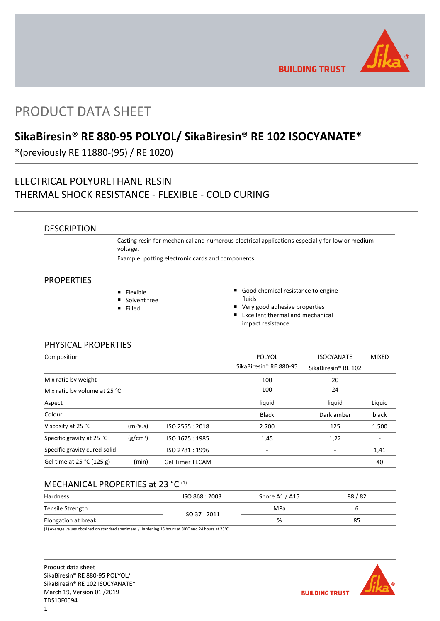

**BUILDING TRUST** 

# PRODUCT DATA SHEET

# **SikaBiresin® RE 880-95 POLYOL/ SikaBiresin® RE 102 ISOCYANATE\***

\*(previously RE 11880-(95) / RE 1020)

## ELECTRICAL POLYURETHANE RESIN THERMAL SHOCK RESISTANCE - FLEXIBLE - COLD CURING

## DESCRIPTION

Casting resin for mechanical and numerous electrical applications especially for low or medium voltage.

Example: potting electronic cards and components.

## PROPERTIES

| $\blacksquare$ Flexible | ■ Good chemical resistance to engine            |
|-------------------------|-------------------------------------------------|
| ■ Solvent free          | <b>fluids</b>                                   |
| ■ Filled                | ■ Very good adhesive properties                 |
|                         | $\blacksquare$ Excallent thermal and mechanical |

 Excellent thermal and mechanical impact resistance

## PHYSICAL PROPERTIES

| Composition                  |                      |                        | <b>POLYOL</b>          | <b>ISOCYANATE</b>               | <b>MIXED</b> |
|------------------------------|----------------------|------------------------|------------------------|---------------------------------|--------------|
|                              |                      |                        | SikaBiresin® RE 880-95 | SikaBiresin <sup>®</sup> RE 102 |              |
| Mix ratio by weight          |                      |                        | 100                    | 20                              |              |
| Mix ratio by volume at 25 °C |                      |                        | 100                    | 24                              |              |
| Aspect                       |                      |                        | liquid                 | liquid                          | Liquid       |
| Colour                       |                      |                        | <b>Black</b>           | Dark amber                      | black        |
| Viscosity at 25 °C           | (mPa.s)              | ISO 2555: 2018         | 2.700                  | 125                             | 1.500        |
| Specific gravity at 25 °C    | (g/cm <sup>3</sup> ) | ISO 1675: 1985         | 1,45                   | 1,22                            |              |
| Specific gravity cured solid |                      | ISO 2781:1996          | ٠                      |                                 | 1,41         |
| Gel time at 25 °C (125 g)    | (min)                | <b>Gel Timer TECAM</b> |                        |                                 | 40           |

## MECHANICAL PROPERTIES at 23 °C<sup>(1)</sup>

| Hardness            | ISO 868 : 2003 | Shore A1 / A15 | 88/82 |
|---------------------|----------------|----------------|-------|
| Tensile Strength    |                | MPa            |       |
| Elongation at break | ISO 37:2011    | %              | 85    |

(1) Average values obtained on standard specimens / Hardening 16 hours at 80°C and 24 hours at 23°C

Product data sheet SikaBiresin® RE 880-95 POLYOL/ SikaBiresin® RE 102 ISOCYANATE\* March 19, Version 01 /2019 TDS10F0094

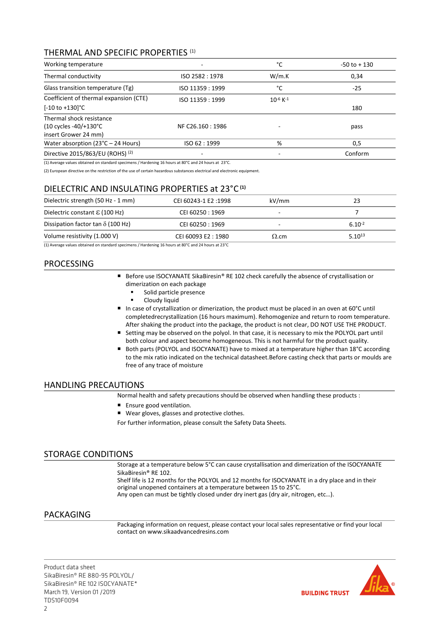## THERMAL AND SPECIFIC PROPERTIES (1)

| Working temperature                                                       |                  | °C                        | $-50$ to $+130$ |
|---------------------------------------------------------------------------|------------------|---------------------------|-----------------|
| Thermal conductivity                                                      | ISO 2582: 1978   | W/m.K                     | 0.34            |
| Glass transition temperature (Tg)                                         | ISO 11359 : 1999 | °C                        | $-25$           |
| Coefficient of thermal expansion (CTE)                                    | ISO 11359 : 1999 | $10^{-6}$ K <sup>-1</sup> |                 |
| $[-10 \text{ to } +130]$ °C                                               |                  |                           | 180             |
| Thermal shock resistance<br>(10 cycles -40/+130°C<br>insert Grower 24 mm) | NF C26.160: 1986 |                           | pass            |
| Water absorption $(23^{\circ}C - 24$ Hours)                               | ISO 62:1999      | %                         | 0,5             |
| Directive 2015/863/EU (ROHS) (2)                                          |                  | -                         | Conform         |

(1) Average values obtained on standard specimens / Hardening 16 hours at 80°C and 24 hours at 23°C.

(2) European directive on the restriction of the use of certain hazardous substances electrical and electronic equipment.

## DIELECTRIC AND INSULATING PROPERTIES at 23°C **(1)**

| Dielectric strength (50 Hz - 1 mm)       | CEI 60243-1 E2:1998 | kV/mm        | 23          |
|------------------------------------------|---------------------|--------------|-------------|
| Dielectric constant $\epsilon$ (100 Hz)  | CEI 60250 : 1969    |              |             |
| Dissipation factor tan $\delta$ (100 Hz) | CEI 60250 : 1969    |              | $6.10^{-2}$ |
| Volume resistivity (1.000 V)             | CEI 60093 E2:1980   | $\Omega$ .cm | $5.10^{13}$ |

(1) Average values obtained on standard specimens / Hardening 16 hours at 80°C and 24 hours at 23°C

## PROCESSING

- Before use ISOCYANATE SikaBiresin® RE 102 check carefully the absence of crystallisation or dimerization on each package
	- Solid particle presence
	- Cloudy liquid
- In case of crystallization or dimerization, the product must be placed in an oven at  $60^{\circ}$ C until completedrecrystallization (16 hours maximum). Rehomogenize and return to room temperature. After shaking the product into the package, the product is not clear, DO NOT USE THE PRODUCT.
- Setting may be observed on the polyol. In that case, it is necessary to mix the POLYOL part until both colour and aspect become homogeneous. This is not harmful for the product quality.
- Both parts (POLYOL and ISOCYANATE) have to mixed at a temperature higher than 18°C according to the mix ratio indicated on the technical datasheet.Before casting check that parts or moulds are free of any trace of moisture

## HANDLING PRECAUTIONS

Normal health and safety precautions should be observed when handling these products :

- **Ensure good ventilation.**
- Wear gloves, glasses and protective clothes.

For further information, please consult the Safety Data Sheets.

## STORAGE CONDITIONS

Storage at a temperature below 5°C can cause crystallisation and dimerization of the ISOCYANATE SikaBiresin® RE 102.

Shelf life is 12 months for the POLYOL and 12 months for ISOCYANATE in a dry place and in their original unopened containers at a temperature between 15 to 25°C. Any open can must be tightly closed under dry inert gas (dry air, nitrogen, etc…).

## PACKAGING

Packaging information on request, please contact your local sales representative or find your local contact on www.sikaadvancedresins.com

Product data sheet SikaBiresin® RE 880-95 POLYOL/ SikaBiresin® RE 102 ISOCYANATE\* March 19, Version 01 /2019 TDS10F0094

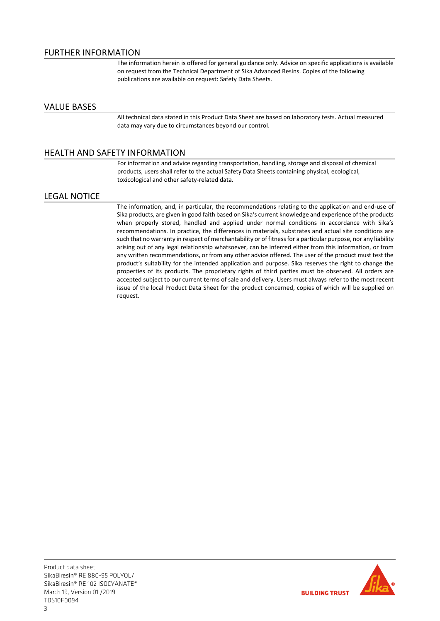The information herein is offered for general guidance only. Advice on specific applications is available on request from the Technical Department of Sika Advanced Resins. Copies of the following publications are available on request: Safety Data Sheets.

## VALUE BASES

All technical data stated in this Product Data Sheet are based on laboratory tests. Actual measured data may vary due to circumstances beyond our control.

## HEALTH AND SAFETY INFORMATION

For information and advice regarding transportation, handling, storage and disposal of chemical products, users shall refer to the actual Safety Data Sheets containing physical, ecological, toxicological and other safety-related data.

#### LEGAL NOTICE

The information, and, in particular, the recommendations relating to the application and end-use of Sika products, are given in good faith based on Sika's current knowledge and experience of the products when properly stored, handled and applied under normal conditions in accordance with Sika's recommendations. In practice, the differences in materials, substrates and actual site conditions are such that no warranty in respect of merchantability or of fitness for a particular purpose, nor any liability arising out of any legal relationship whatsoever, can be inferred either from this information, or from any written recommendations, or from any other advice offered. The user of the product must test the product's suitability for the intended application and purpose. Sika reserves the right to change the properties of its products. The proprietary rights of third parties must be observed. All orders are accepted subject to our current terms of sale and delivery. Users must always refer to the most recent issue of the local Product Data Sheet for the product concerned, copies of which will be supplied on request.